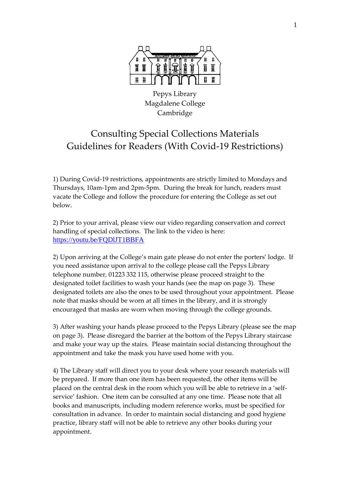

Pepys Library Magdalene College Cambridge

## Consulting Special Collections Materials Guidelines for Readers (With Covid-19 Restrictions)

1) During Covid-19 restrictions, appointments are strictly limited to Mondays and Thursdays, 10am-1pm and 2pm-5pm. During the break for lunch, readers must vacate the College and follow the procedure for entering the College as set out below.

2) Prior to your arrival, please view our video regarding conservation and correct handling of special collections. The link to the video is here: <https://youtu.be/FQDlJT1BBFA>

2) Upon arriving at the College's main gate please do not enter the porters' lodge. If you need assistance upon arrival to the college please call the Pepys Library telephone number, 01223 332 115, otherwise please proceed straight to the designated toilet facilities to wash your hands (see the map on page 3). These designated toilets are also the ones to be used throughout your appointment. Please note that masks should be worn at all times in the library, and it is strongly encouraged that masks are worn when moving through the college grounds.

3) After washing your hands please proceed to the Pepys Library (please see the map on page 3). Please disregard the barrier at the bottom of the Pepys Library staircase and make your way up the stairs. Please maintain social distancing throughout the appointment and take the mask you have used home with you.

4) The Library staff will direct you to your desk where your research materials will be prepared. If more than one item has been requested, the other items will be placed on the central desk in the room which you will be able to retrieve in a 'selfservice' fashion. One item can be consulted at any one time. Please note that all books and manuscripts, including modern reference works, must be specified for consultation in advance. In order to maintain social distancing and good hygiene practice, library staff will not be able to retrieve any other books during your appointment.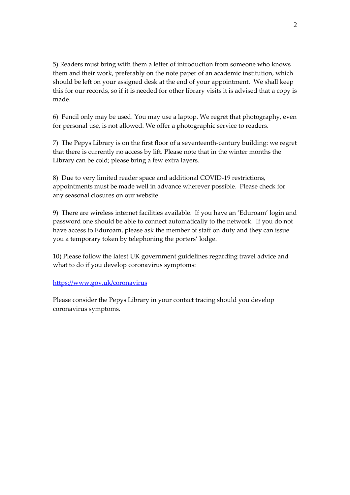5) Readers must bring with them a letter of introduction from someone who knows them and their work, preferably on the note paper of an academic institution, which should be left on your assigned desk at the end of your appointment. We shall keep this for our records, so if it is needed for other library visits it is advised that a copy is made.

6) Pencil only may be used. You may use a laptop. We regret that photography, even for personal use, is not allowed. We offer a photographic service to readers.

7) The Pepys Library is on the first floor of a seventeenth-century building: we regret that there is currently no access by lift. Please note that in the winter months the Library can be cold; please bring a few extra layers.

8) Due to very limited reader space and additional COVID-19 restrictions, appointments must be made well in advance wherever possible. Please check for any seasonal closures on our website.

9) There are wireless internet facilities available. If you have an 'Eduroam' login and password one should be able to connect automatically to the network. If you do not have access to Eduroam, please ask the member of staff on duty and they can issue you a temporary token by telephoning the porters' lodge.

10) Please follow the latest UK government guidelines regarding travel advice and what to do if you develop coronavirus symptoms:

## <https://www.gov.uk/coronavirus>

Please consider the Pepys Library in your contact tracing should you develop coronavirus symptoms.